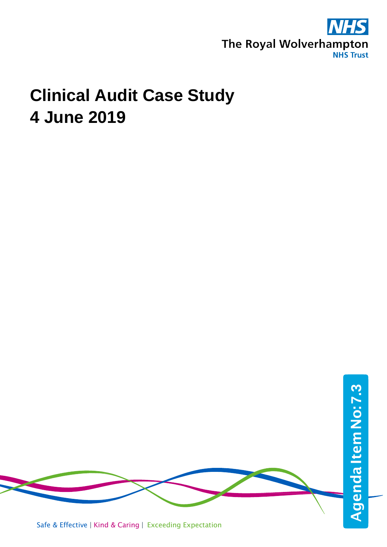

### **Clinical Audit Case Study 4 June 2019**

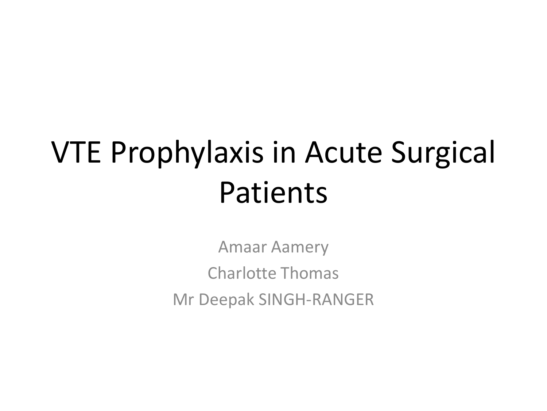## VTE Prophylaxis in Acute Surgical Patients

Amaar Aamery Charlotte Thomas Mr Deepak SINGH-RANGER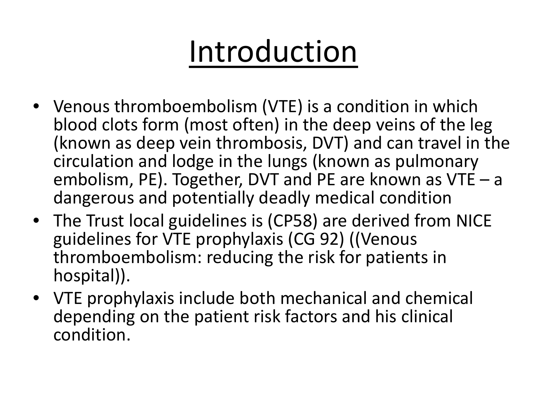## Introduction

- Venous thromboembolism (VTE) is a condition in which blood clots form (most often) in the deep veins of the leg (known as deep vein thrombosis, DVT) and can travel in the circulation and lodge in the lungs (known as pulmonary embolism, PE). Together, DVT and PE are known as VTE – a dangerous and potentially deadly medical condition
- The Trust local guidelines is (CP58) are derived from NICE guidelines for VTE prophylaxis (CG 92) ((Venous thromboembolism: reducing the risk for patients in hospital)).
- VTE prophylaxis include both mechanical and chemical depending on the patient risk factors and his clinical condition.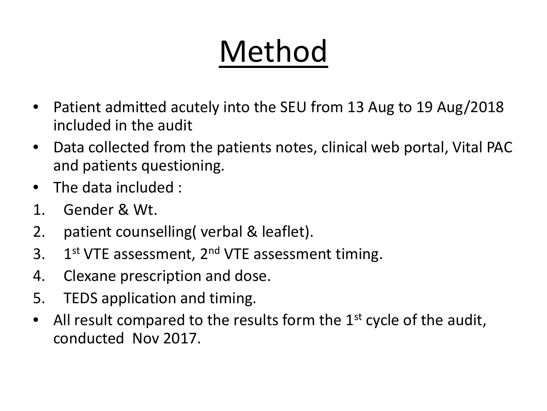# Method

- Patient admitted acutely into the SEU from 13 Aug to 19 Aug/2018 included in the audit
- Data collected from the patients notes, clinical web portal, Vital PAC and patients questioning.
- The data included :
- 1. Gender & Wt.
- 2. patient counselling( verbal & leaflet).
- 3. 1st VTE assessment, 2<sup>nd</sup> VTE assessment timing.
- 4. Clexane prescription and dose.
- 5. TEDS application and timing.
- All result compared to the results form the  $1<sup>st</sup>$  cycle of the audit, conducted Nov 2017.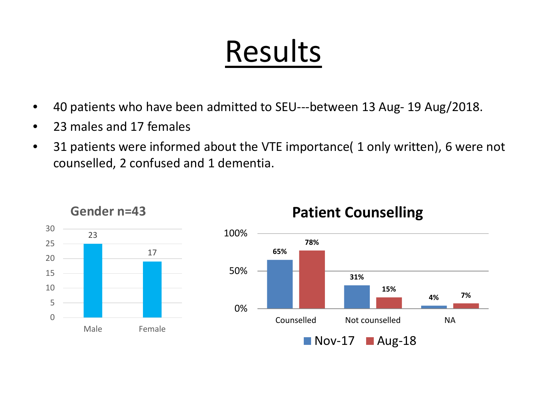## Results

- 40 patients who have been admitted to SEU---between 13 Aug- 19 Aug/2018.
- 23 males and 17 females
- 31 patients were informed about the VTE importance( 1 only written), 6 were not counselled, 2 confused and 1 dementia.



### **Gender n=43**



### **Patient Counselling**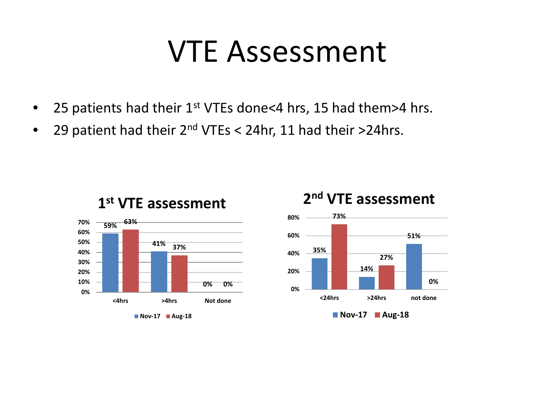### VTE Assessment

- 25 patients had their  $1^{st}$  VTEs done<4 hrs, 15 had them>4 hrs.
- 29 patient had their  $2^{nd}$  VTEs < 24hr, 11 had their >24hrs.



**1st VTE assessment**

#### **Nov-17 Aug-18**



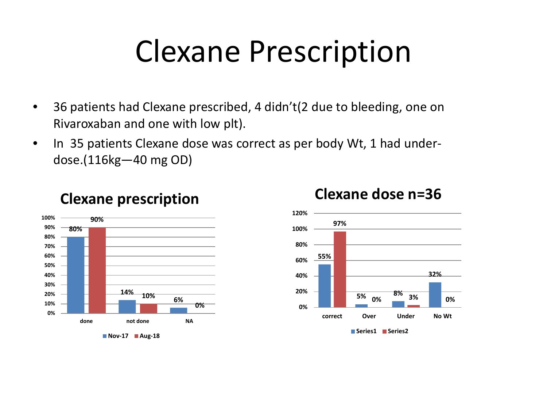## Clexane Prescription

- 36 patients had Clexane prescribed, 4 didn't(2 due to bleeding, one on Rivaroxaban and one with low plt).
- In 35 patients Clexane dose was correct as per body Wt, 1 had underdose.(116kg—40 mg OD)



### **Clexane prescription**





### **Clexane dose n=36**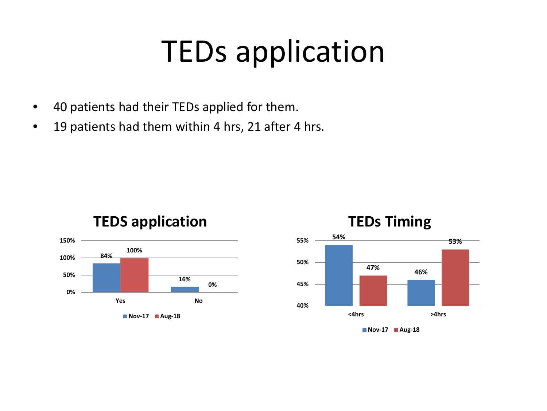### TEDs application

- 40 patients had their TEDs applied for them.
- 19 patients had them within 4 hrs, 21 after 4 hrs.







### **TEDs Timing**

**Nov-17 Aug-18**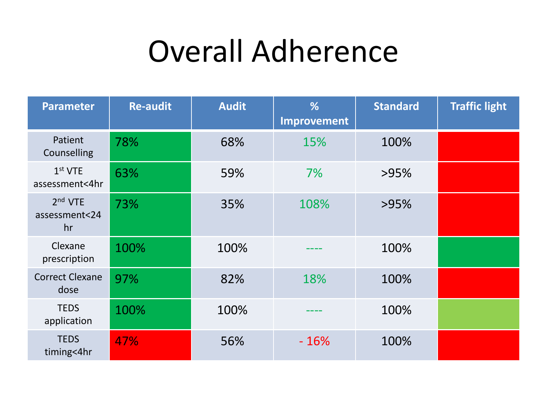### Overall Adherence

| <b>Parameter</b>                           | <b>Re-audit</b> | <b>Audit</b> | %<br>Improvement | <b>Standard</b> | <b>Traffic light</b> |
|--------------------------------------------|-----------------|--------------|------------------|-----------------|----------------------|
| Patient<br>Counselling                     | 78%             | 68%          | 15%              | 100%            |                      |
| 1 <sup>st</sup> VTE<br>assessment<4hr      | 63%             | 59%          | 7%               | >95%            |                      |
| 2 <sup>nd</sup> VTE<br>assessment<24<br>hr | 73%             | 35%          | 108%             | >95%            |                      |
| Clexane<br>prescription                    | 100%            | 100%         |                  | 100%            |                      |
| <b>Correct Clexane</b><br>dose             | 97%             | 82%          | 18%              | 100%            |                      |
| <b>TEDS</b><br>application                 | 100%            | 100%         |                  | 100%            |                      |
| <b>TEDS</b><br>timing<4hr                  | 47%             | 56%          | $-16%$           | 100%            |                      |